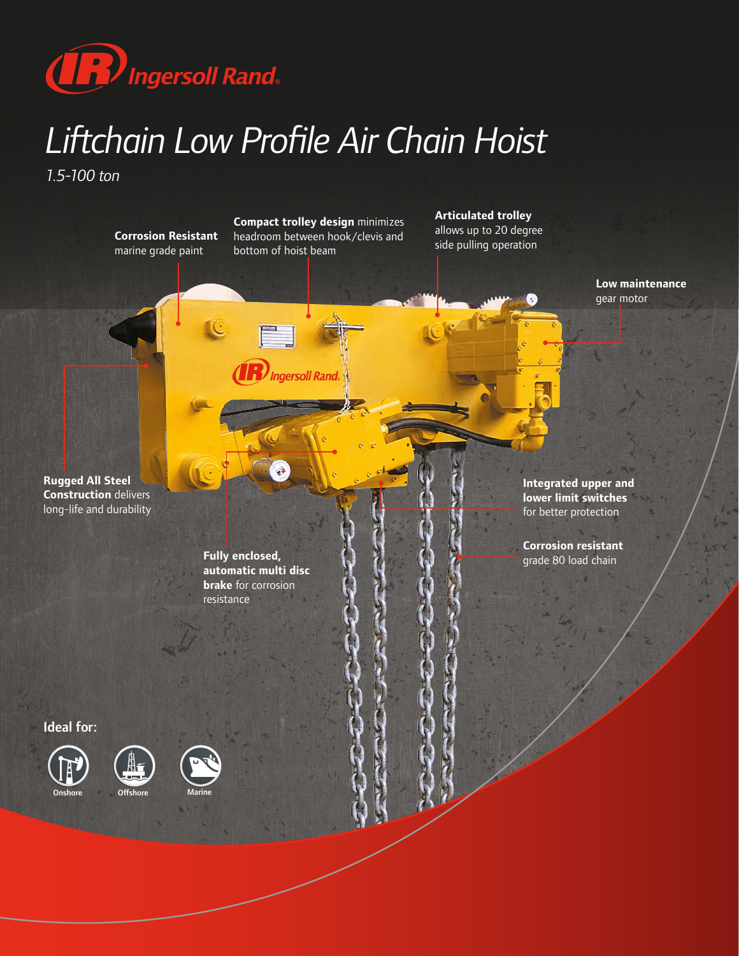

## *Liftchain Low Profile Air Chain Hoist*

*1.5-100 ton*

**Corrosion Resistant**  marine grade paint

**Compact trolley design** minimizes headroom between hook/clevis and bottom of hoist beam

**Ingersoll Rand.** 

**Articulated trolley** allows up to 20 degree side pulling operation



**Rugged All Steel Construction** delivers long-life and durability

> **Fully enclosed, automatic multi disc brake** for corrosion resistance

**Integrated upper and lower limit switches**  for better protection

**Corrosion resistant**  grade 80 load chain

Ideal for:







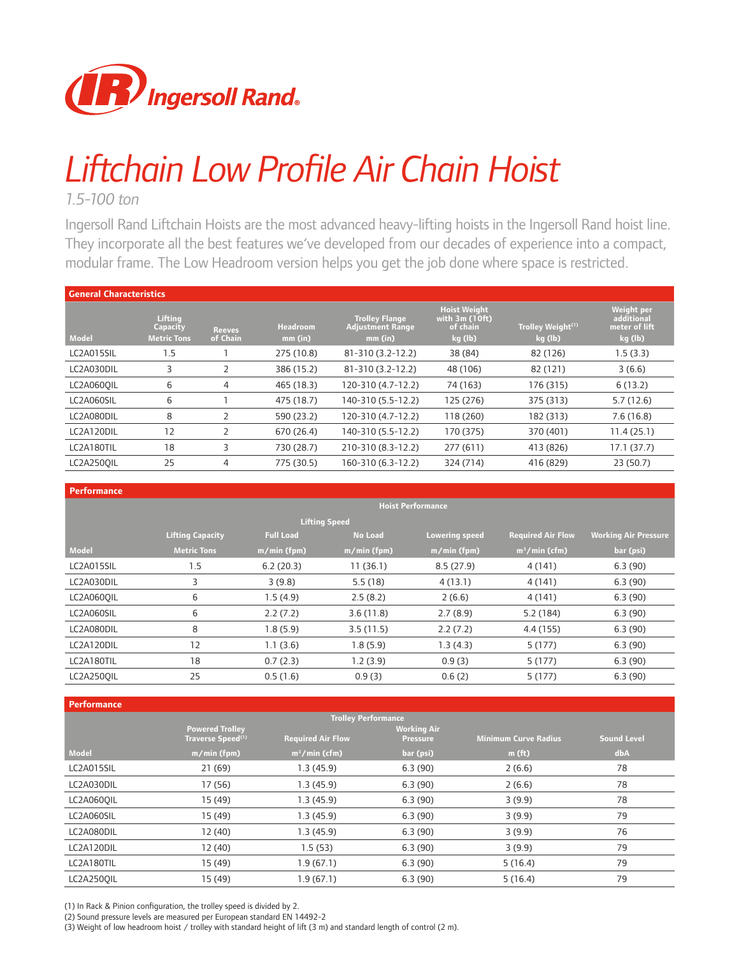

## *Liftchain Low Profile Air Chain Hoist*

*1.5-100 ton*

Ingersoll Rand Liftchain Hoists are the most advanced heavy-lifting hoists in the Ingersoll Rand hoist line. They incorporate all the best features we've developed from our decades of experience into a compact, modular frame. The Low Headroom version helps you get the job done where space is restricted.

| <b>General Characteristics</b> |                                           |                           |                            |                                                               |                                                              |                                          |                                                             |  |  |  |
|--------------------------------|-------------------------------------------|---------------------------|----------------------------|---------------------------------------------------------------|--------------------------------------------------------------|------------------------------------------|-------------------------------------------------------------|--|--|--|
| <b>Model</b>                   | Lifting<br>Capacity<br><b>Metric Tons</b> | <b>Reeves</b><br>of Chain | <b>Headroom</b><br>mm (in) | <b>Trolley Flange</b><br><b>Adjustment Range</b><br>$mm$ (in) | <b>Hoist Weight</b><br>with 3m (10ft)<br>of chain<br>kg (lb) | Trolley Weight <sup>(1)</sup><br>kg (lb) | <b>Weight per</b><br>additional<br>meter of lift<br>kg (lb) |  |  |  |
| LC2A015SIL                     | 1.5                                       |                           | 275 (10.8)                 | 81-310 (3.2-12.2)                                             | 38 (84)                                                      | 82 (126)                                 | 1.5(3.3)                                                    |  |  |  |
| LC2A030DIL                     | 3                                         |                           | 386 (15.2)                 | 81-310 (3.2-12.2)                                             | 48 (106)                                                     | 82 (121)                                 | 3(6.6)                                                      |  |  |  |
| LC2A060OIL                     | 6                                         | 4                         | 465 (18.3)                 | 120-310 (4.7-12.2)                                            | 74 (163)                                                     | 176 (315)                                | 6(13.2)                                                     |  |  |  |
| LC2A060SIL                     | 6                                         |                           | 475 (18.7)                 | 140-310 (5.5-12.2)                                            | 125 (276)                                                    | 375 (313)                                | 5.7(12.6)                                                   |  |  |  |
| LC2A080DIL                     | 8                                         | 2                         | 590 (23.2)                 | 120-310 (4.7-12.2)                                            | 118 (260)                                                    | 182 (313)                                | 7.6(16.8)                                                   |  |  |  |
| LC2A120DIL                     | 12                                        | $\overline{2}$            | 670 (26.4)                 | 140-310 (5.5-12.2)                                            | 170 (375)                                                    | 370 (401)                                | 11.4(25.1)                                                  |  |  |  |
| LC2A180TIL                     | 18                                        | 3                         | 730 (28.7)                 | 210-310 (8.3-12.2)                                            | 277(611)                                                     | 413 (826)                                | 17.1(37.7)                                                  |  |  |  |
| LC2A250OIL                     | 25                                        | 4                         | 775 (30.5)                 | 160-310 (6.3-12.2)                                            | 324 (714)                                                    | 416 (829)                                | 23(50.7)                                                    |  |  |  |

| Performance       |                          |                  |                |                       |                          |                             |  |  |  |  |  |
|-------------------|--------------------------|------------------|----------------|-----------------------|--------------------------|-----------------------------|--|--|--|--|--|
|                   | <b>Hoist Performance</b> |                  |                |                       |                          |                             |  |  |  |  |  |
|                   | <b>Lifting Speed</b>     |                  |                |                       |                          |                             |  |  |  |  |  |
|                   | <b>Lifting Capacity</b>  | <b>Full Load</b> | <b>No Load</b> | <b>Lowering speed</b> | <b>Required Air Flow</b> | <b>Working Air Pressure</b> |  |  |  |  |  |
| Model             | <b>Metric Tons</b>       | $m/min$ (fpm)    | $m/min$ (fpm)  | m/min (fpm)           | $m^3/m$ in (cfm)         | bar (psi)                   |  |  |  |  |  |
| LC2A015SIL        | 1.5                      | 6.2(20.3)        | 11(36.1)       | 8.5(27.9)             | 4 (141)                  | 6.3(90)                     |  |  |  |  |  |
| LC2A030DIL        | 3                        | 3(9.8)           | 5.5(18)        | 4(13.1)               | 4 (141)                  | 6.3(90)                     |  |  |  |  |  |
| LC2A060OIL        | 6                        | 1.5(4.9)         | 2.5(8.2)       | 2(6.6)                | 4 (141)                  | 6.3(90)                     |  |  |  |  |  |
| LC2A060SIL        | 6                        | 2.2(7.2)         | 3.6(11.8)      | 2.7(8.9)              | 5.2(184)                 | 6.3(90)                     |  |  |  |  |  |
| LC2A080DIL        | 8                        | 1.8(5.9)         | 3.5(11.5)      | 2.2(7.2)              | 4.4 (155)                | 6.3(90)                     |  |  |  |  |  |
| LC2A120DIL        | 12                       | 1.1(3.6)         | 1.8(5.9)       | 1.3(4.3)              | 5(177)                   | 6.3(90)                     |  |  |  |  |  |
| LC2A180TIL        | 18                       | 0.7(2.3)         | 1.2(3.9)       | 0.9(3)                | 5(177)                   | 6.3(90)                     |  |  |  |  |  |
| <b>LC2A250OIL</b> | 25                       | 0.5(1.6)         | 0.9(3)         | 0.6(2)                | 5(177)                   | 6.3(90)                     |  |  |  |  |  |

| <b>Performance</b> |  |  |  |
|--------------------|--|--|--|
|                    |  |  |  |

| <b>Trolley Performance</b> |                                                         |                          |                             |                    |     |  |  |  |  |  |
|----------------------------|---------------------------------------------------------|--------------------------|-----------------------------|--------------------|-----|--|--|--|--|--|
|                            | <b>Powered Trolley</b><br>Traverse Speed <sup>(1)</sup> | <b>Required Air Flow</b> | <b>Minimum Curve Radius</b> | <b>Sound Level</b> |     |  |  |  |  |  |
| <b>Model</b>               | $m/min$ (fpm)                                           | $m^3/m$ in (cfm)         | bar (psi)                   | $m$ (ft)           | dbA |  |  |  |  |  |
| LC2A015SIL                 | 21(69)                                                  | 1.3 (45.9)               | 6.3(90)                     | 2(6.6)             | 78  |  |  |  |  |  |
| LC2A030DIL                 | 17 (56)                                                 | 1.3 (45.9)               | 6.3(90)                     | 2(6.6)             | 78  |  |  |  |  |  |
| LC2A060OIL                 | 15 (49)                                                 | 1.3 (45.9)               | 6.3(90)                     | 3(9.9)             | 78  |  |  |  |  |  |
| LC2A060SIL                 | 15 (49)                                                 | 1.3(45.9)                | 6.3(90)                     | 3(9.9)             | 79  |  |  |  |  |  |
| LC2A080DIL                 | 12 (40)                                                 | 1.3(45.9)                | 6.3(90)                     | 3(9.9)             | 76  |  |  |  |  |  |
| LC2A120DIL                 | 12 (40)                                                 | 1.5(53)                  | 6.3(90)                     | 3(9.9)             | 79  |  |  |  |  |  |
| LC2A180TIL                 | 15 (49)                                                 | 1.9(67.1)                | 6.3(90)                     | 5(16.4)            | 79  |  |  |  |  |  |
| <b>LC2A250OIL</b>          | 15 (49)                                                 | 1.9(67.1)                | 6.3(90)                     | 5(16.4)            | 79  |  |  |  |  |  |

(1) In Rack & Pinion configuration, the trolley speed is divided by 2.

(2) Sound pressure levels are measured per European standard EN 14492-2

(3) Weight of low headroom hoist / trolley with standard height of lift (3 m) and standard length of control (2 m).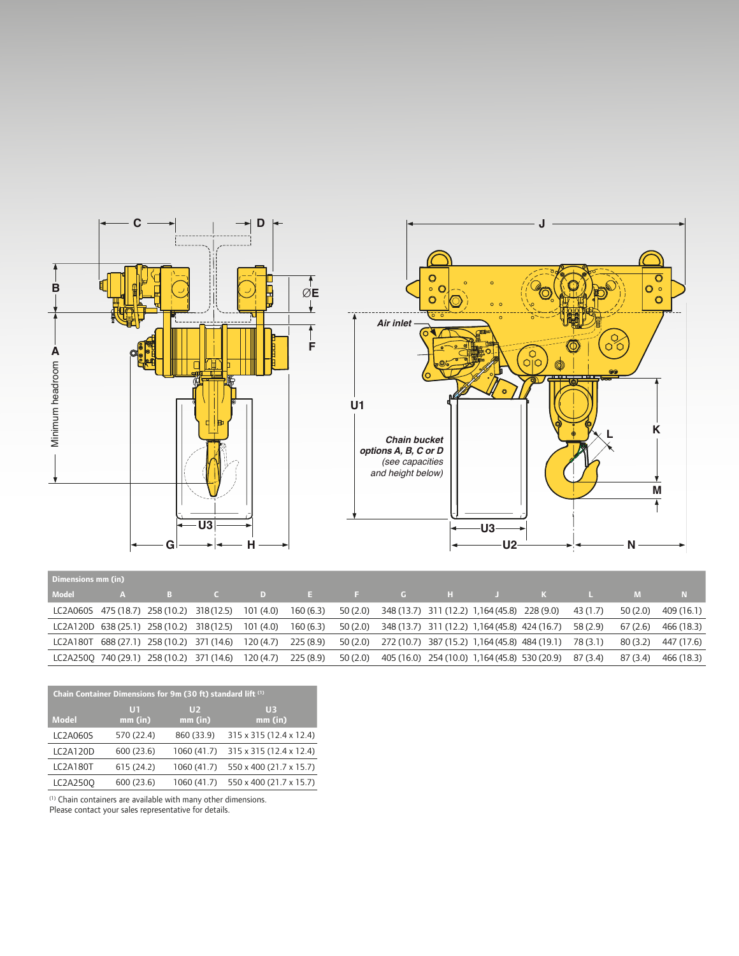

| Dimensions mm (in) |                                                     |                                                                                                                                                                                                                                     |  |  |                                                                                                                               |          |          |            |
|--------------------|-----------------------------------------------------|-------------------------------------------------------------------------------------------------------------------------------------------------------------------------------------------------------------------------------------|--|--|-------------------------------------------------------------------------------------------------------------------------------|----------|----------|------------|
| Model              | A B                                                 | and <b>C</b> and the state of the state of the state of the state of the state of the state of the state of the state of the state of the state of the state of the state of the state of the state of the state of the state of th |  |  | DEF GHJ KL                                                                                                                    |          |          |            |
|                    | LC2A060S 475 (18.7) 258 (10.2) 318 (12.5) 101 (4.0) |                                                                                                                                                                                                                                     |  |  | 160 (6.3) 50 (2.0) 348 (13.7) 311 (12.2) 1,164 (45.8) 228 (9.0)                                                               | 43 (1.7) | 50 (2.0) | 409 (16.1) |
|                    | LC2A120D 638 (25.1) 258 (10.2) 318 (12.5) 101 (4.0) |                                                                                                                                                                                                                                     |  |  | 160 (6.3) 50 (2.0) 348 (13.7) 311 (12.2) 1,164 (45.8) 424 (16.7) 58 (2.9)                                                     |          | 67 (2.6) | 466 (18.3) |
|                    |                                                     |                                                                                                                                                                                                                                     |  |  | LC2A180T 688 (27.1) 258 (10.2) 371 (14.6) 120 (4.7) 225 (8.9) 50 (2.0) 272 (10.7) 387 (15.2) 1,164 (45.8) 484 (19.1) 78 (3.1) |          | 80 (3.2) | 447 (17.6) |
|                    |                                                     |                                                                                                                                                                                                                                     |  |  | LC2A2500 740 (29.1) 258 (10.2) 371 (14.6) 120 (4.7) 225 (8.9) 50 (2.0) 405 (16.0) 254 (10.0) 1,164 (45.8) 530 (20.9) 87 (3.4) |          | 87 (3.4) | 466 (18.3) |

| Chain Container Dimensions for 9m (30 ft) standard lift <sup>(1)</sup> |                 |                           |                             |  |  |  |  |  |  |  |
|------------------------------------------------------------------------|-----------------|---------------------------|-----------------------------|--|--|--|--|--|--|--|
| <b>Model</b>                                                           | UT<br>$mm$ (in) | U <sub>2</sub><br>mm (in) | U <sub>3</sub><br>$mm$ (in) |  |  |  |  |  |  |  |
| <b>LC2A060S</b>                                                        | 570 (22.4)      | 860 (33.9)                | 315 x 315 (12.4 x 12.4)     |  |  |  |  |  |  |  |
| LC2A120D                                                               | 600 (23.6)      | 1060 (41.7)               | 315 x 315 (12.4 x 12.4)     |  |  |  |  |  |  |  |
| LC2A180T                                                               | 615 (24.2)      | 1060 (41.7)               | 550 x 400 (21.7 x 15.7)     |  |  |  |  |  |  |  |
| LC2A2500                                                               | 600 (23.6)      | 1060 (41.7)               | 550 x 400 (21.7 x 15.7)     |  |  |  |  |  |  |  |

(1) Chain containers are available with many other dimensions.

Please contact your sales representative for details.